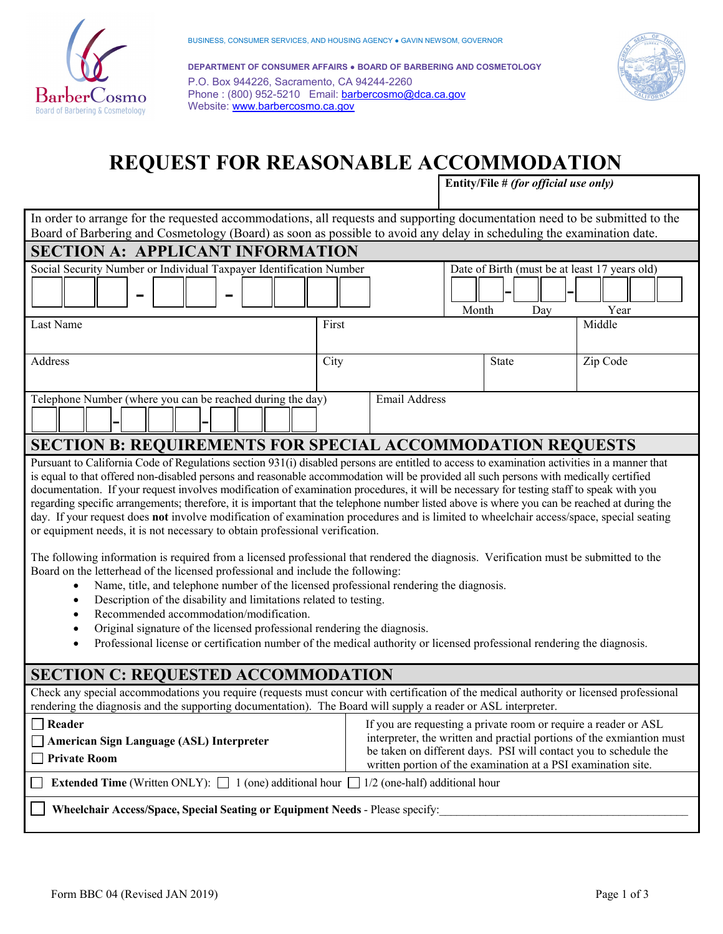

 **DEPARTMENT OF CONSUMER AFFAIRS ● BOARD OF BARBERING AND COSMETOLOGY** P.O. Box 944226, Sacramento, CA 94244-2260 Phone : (800) 952-5210 Email: **barbercosmo@dca.ca.gov** Website: [www.barbercosmo.ca.gov](http://www.barbercosmo.ca.gov/) 



# **REQUEST FOR REASONABLE ACCOMMODATION**

 **Entity/File #** *(for official use only)* 

| In order to arrange for the requested accommodations, all requests and supporting documentation need to be submitted to the                                                                                                                                                                                                                                                                                                                                                                                                                                                                                                                                                                                                                                                                                                                                                                                                                                                                                                                                                                                                                                                                                                                                                                                                                                                                                                                                                                            |       |                                                                                                                                                                                                      |                                                      |                                                                       |  |
|--------------------------------------------------------------------------------------------------------------------------------------------------------------------------------------------------------------------------------------------------------------------------------------------------------------------------------------------------------------------------------------------------------------------------------------------------------------------------------------------------------------------------------------------------------------------------------------------------------------------------------------------------------------------------------------------------------------------------------------------------------------------------------------------------------------------------------------------------------------------------------------------------------------------------------------------------------------------------------------------------------------------------------------------------------------------------------------------------------------------------------------------------------------------------------------------------------------------------------------------------------------------------------------------------------------------------------------------------------------------------------------------------------------------------------------------------------------------------------------------------------|-------|------------------------------------------------------------------------------------------------------------------------------------------------------------------------------------------------------|------------------------------------------------------|-----------------------------------------------------------------------|--|
| Board of Barbering and Cosmetology (Board) as soon as possible to avoid any delay in scheduling the examination date.                                                                                                                                                                                                                                                                                                                                                                                                                                                                                                                                                                                                                                                                                                                                                                                                                                                                                                                                                                                                                                                                                                                                                                                                                                                                                                                                                                                  |       |                                                                                                                                                                                                      |                                                      |                                                                       |  |
| <b>SECTION A: APPLICANT INFORMATION</b>                                                                                                                                                                                                                                                                                                                                                                                                                                                                                                                                                                                                                                                                                                                                                                                                                                                                                                                                                                                                                                                                                                                                                                                                                                                                                                                                                                                                                                                                |       |                                                                                                                                                                                                      |                                                      |                                                                       |  |
| Social Security Number or Individual Taxpayer Identification Number                                                                                                                                                                                                                                                                                                                                                                                                                                                                                                                                                                                                                                                                                                                                                                                                                                                                                                                                                                                                                                                                                                                                                                                                                                                                                                                                                                                                                                    |       | Month                                                                                                                                                                                                | Date of Birth (must be at least 17 years old)<br>Day | Year                                                                  |  |
| Last Name                                                                                                                                                                                                                                                                                                                                                                                                                                                                                                                                                                                                                                                                                                                                                                                                                                                                                                                                                                                                                                                                                                                                                                                                                                                                                                                                                                                                                                                                                              | First |                                                                                                                                                                                                      |                                                      | Middle                                                                |  |
|                                                                                                                                                                                                                                                                                                                                                                                                                                                                                                                                                                                                                                                                                                                                                                                                                                                                                                                                                                                                                                                                                                                                                                                                                                                                                                                                                                                                                                                                                                        |       |                                                                                                                                                                                                      |                                                      |                                                                       |  |
| Address                                                                                                                                                                                                                                                                                                                                                                                                                                                                                                                                                                                                                                                                                                                                                                                                                                                                                                                                                                                                                                                                                                                                                                                                                                                                                                                                                                                                                                                                                                | City  |                                                                                                                                                                                                      | State                                                | Zip Code                                                              |  |
| <b>Email Address</b><br>Telephone Number (where you can be reached during the day)                                                                                                                                                                                                                                                                                                                                                                                                                                                                                                                                                                                                                                                                                                                                                                                                                                                                                                                                                                                                                                                                                                                                                                                                                                                                                                                                                                                                                     |       |                                                                                                                                                                                                      |                                                      |                                                                       |  |
| <b>SECTION B: REQUIREMENTS FOR SPECIAL ACCOMMODATION REQUESTS</b>                                                                                                                                                                                                                                                                                                                                                                                                                                                                                                                                                                                                                                                                                                                                                                                                                                                                                                                                                                                                                                                                                                                                                                                                                                                                                                                                                                                                                                      |       |                                                                                                                                                                                                      |                                                      |                                                                       |  |
| Pursuant to California Code of Regulations section 931(i) disabled persons are entitled to access to examination activities in a manner that<br>is equal to that offered non-disabled persons and reasonable accommodation will be provided all such persons with medically certified<br>documentation. If your request involves modification of examination procedures, it will be necessary for testing staff to speak with you<br>regarding specific arrangements; therefore, it is important that the telephone number listed above is where you can be reached at during the<br>day. If your request does not involve modification of examination procedures and is limited to wheelchair access/space, special seating<br>or equipment needs, it is not necessary to obtain professional verification.<br>The following information is required from a licensed professional that rendered the diagnosis. Verification must be submitted to the<br>Board on the letterhead of the licensed professional and include the following:<br>Name, title, and telephone number of the licensed professional rendering the diagnosis.<br>$\bullet$<br>Description of the disability and limitations related to testing.<br>$\bullet$<br>Recommended accommodation/modification.<br>$\bullet$<br>Original signature of the licensed professional rendering the diagnosis.<br>٠<br>Professional license or certification number of the medical authority or licensed professional rendering the diagnosis. |       |                                                                                                                                                                                                      |                                                      |                                                                       |  |
| <b>SECTION C: REQUESTED ACCOMMODATION</b>                                                                                                                                                                                                                                                                                                                                                                                                                                                                                                                                                                                                                                                                                                                                                                                                                                                                                                                                                                                                                                                                                                                                                                                                                                                                                                                                                                                                                                                              |       |                                                                                                                                                                                                      |                                                      |                                                                       |  |
| Check any special accommodations you require (requests must concur with certification of the medical authority or licensed professional<br>rendering the diagnosis and the supporting documentation). The Board will supply a reader or ASL interpreter.                                                                                                                                                                                                                                                                                                                                                                                                                                                                                                                                                                                                                                                                                                                                                                                                                                                                                                                                                                                                                                                                                                                                                                                                                                               |       |                                                                                                                                                                                                      |                                                      |                                                                       |  |
| Reader<br><b>American Sign Language (ASL) Interpreter</b><br><b>Private Room</b>                                                                                                                                                                                                                                                                                                                                                                                                                                                                                                                                                                                                                                                                                                                                                                                                                                                                                                                                                                                                                                                                                                                                                                                                                                                                                                                                                                                                                       |       | If you are requesting a private room or require a reader or ASL<br>be taken on different days. PSI will contact you to schedule the<br>written portion of the examination at a PSI examination site. |                                                      | interpreter, the written and practial portions of the exmiantion must |  |
| <b>Extended Time</b> (Written ONLY): $\Box$ 1 (one) additional hour $\Box$ 1/2 (one-half) additional hour                                                                                                                                                                                                                                                                                                                                                                                                                                                                                                                                                                                                                                                                                                                                                                                                                                                                                                                                                                                                                                                                                                                                                                                                                                                                                                                                                                                              |       |                                                                                                                                                                                                      |                                                      |                                                                       |  |
| Wheelchair Access/Space, Special Seating or Equipment Needs - Please specify:                                                                                                                                                                                                                                                                                                                                                                                                                                                                                                                                                                                                                                                                                                                                                                                                                                                                                                                                                                                                                                                                                                                                                                                                                                                                                                                                                                                                                          |       |                                                                                                                                                                                                      |                                                      |                                                                       |  |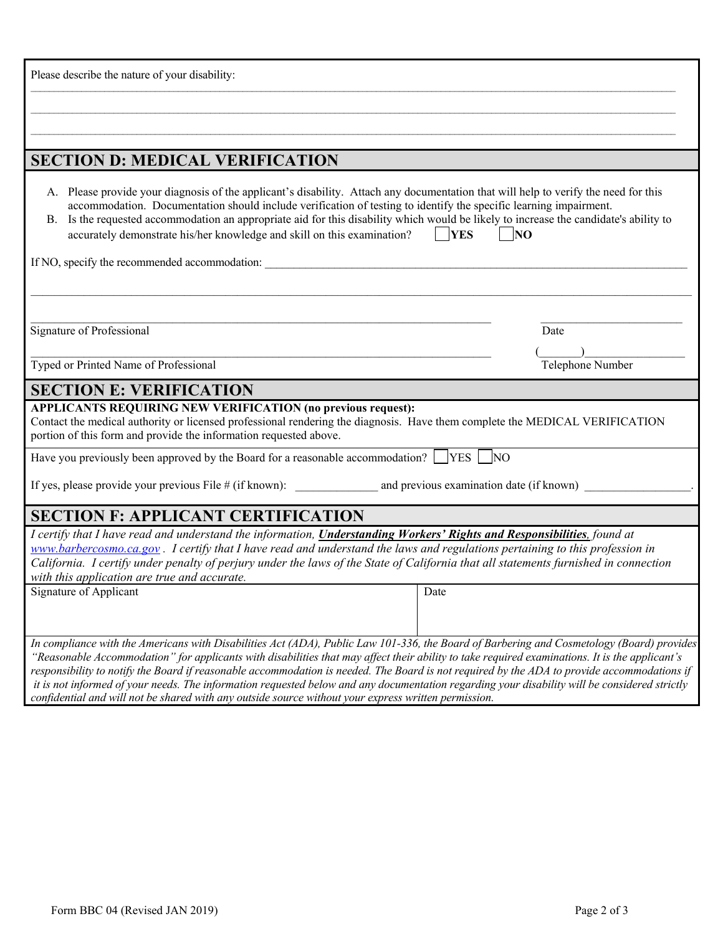| Please describe the nature of your disability:                                                                                                                                                                                                                                                                                                                                                                                                                                                                                                                                                                                                                                                      |                  |  |  |  |
|-----------------------------------------------------------------------------------------------------------------------------------------------------------------------------------------------------------------------------------------------------------------------------------------------------------------------------------------------------------------------------------------------------------------------------------------------------------------------------------------------------------------------------------------------------------------------------------------------------------------------------------------------------------------------------------------------------|------------------|--|--|--|
|                                                                                                                                                                                                                                                                                                                                                                                                                                                                                                                                                                                                                                                                                                     |                  |  |  |  |
|                                                                                                                                                                                                                                                                                                                                                                                                                                                                                                                                                                                                                                                                                                     |                  |  |  |  |
|                                                                                                                                                                                                                                                                                                                                                                                                                                                                                                                                                                                                                                                                                                     |                  |  |  |  |
| <b>SECTION D: MEDICAL VERIFICATION</b>                                                                                                                                                                                                                                                                                                                                                                                                                                                                                                                                                                                                                                                              |                  |  |  |  |
| A. Please provide your diagnosis of the applicant's disability. Attach any documentation that will help to verify the need for this<br>accommodation. Documentation should include verification of testing to identify the specific learning impairment.<br>Is the requested accommodation an appropriate aid for this disability which would be likely to increase the candidate's ability to<br>В.<br>$ $ [YES<br>accurately demonstrate his/her knowledge and skill on this examination?<br>$\vert$  NO                                                                                                                                                                                          |                  |  |  |  |
| If NO, specify the recommended accommodation:                                                                                                                                                                                                                                                                                                                                                                                                                                                                                                                                                                                                                                                       |                  |  |  |  |
|                                                                                                                                                                                                                                                                                                                                                                                                                                                                                                                                                                                                                                                                                                     |                  |  |  |  |
|                                                                                                                                                                                                                                                                                                                                                                                                                                                                                                                                                                                                                                                                                                     |                  |  |  |  |
| Signature of Professional                                                                                                                                                                                                                                                                                                                                                                                                                                                                                                                                                                                                                                                                           | Date             |  |  |  |
|                                                                                                                                                                                                                                                                                                                                                                                                                                                                                                                                                                                                                                                                                                     |                  |  |  |  |
| Typed or Printed Name of Professional                                                                                                                                                                                                                                                                                                                                                                                                                                                                                                                                                                                                                                                               | Telephone Number |  |  |  |
| <b>SECTION E: VERIFICATION</b>                                                                                                                                                                                                                                                                                                                                                                                                                                                                                                                                                                                                                                                                      |                  |  |  |  |
| APPLICANTS REQUIRING NEW VERIFICATION (no previous request):<br>Contact the medical authority or licensed professional rendering the diagnosis. Have them complete the MEDICAL VERIFICATION<br>portion of this form and provide the information requested above.                                                                                                                                                                                                                                                                                                                                                                                                                                    |                  |  |  |  |
| Have you previously been approved by the Board for a reasonable accommodation? $\Box$ YES $\Box$ NO                                                                                                                                                                                                                                                                                                                                                                                                                                                                                                                                                                                                 |                  |  |  |  |
|                                                                                                                                                                                                                                                                                                                                                                                                                                                                                                                                                                                                                                                                                                     |                  |  |  |  |
| <b>SECTION F: APPLICANT CERTIFICATION</b>                                                                                                                                                                                                                                                                                                                                                                                                                                                                                                                                                                                                                                                           |                  |  |  |  |
| I certify that I have read and understand the information, Understanding Workers' Rights and Responsibilities, found at<br>www.barbercosmo.ca.gov. I certify that I have read and understand the laws and regulations pertaining to this profession in<br>California. I certify under penalty of perjury under the laws of the State of California that all statements furnished in connection<br>with this application are true and accurate.                                                                                                                                                                                                                                                      |                  |  |  |  |
| Signature of Applicant                                                                                                                                                                                                                                                                                                                                                                                                                                                                                                                                                                                                                                                                              | Date             |  |  |  |
|                                                                                                                                                                                                                                                                                                                                                                                                                                                                                                                                                                                                                                                                                                     |                  |  |  |  |
| In compliance with the Americans with Disabilities Act (ADA), Public Law 101-336, the Board of Barbering and Cosmetology (Board) provides<br>"Reasonable Accommodation" for applicants with disabilities that may affect their ability to take required examinations. It is the applicant's<br>responsibility to notify the Board if reasonable accommodation is needed. The Board is not required by the ADA to provide accommodations if<br>it is not informed of your needs. The information requested below and any documentation regarding your disability will be considered strictly<br>confidential and will not be shared with any outside source without your express written permission. |                  |  |  |  |